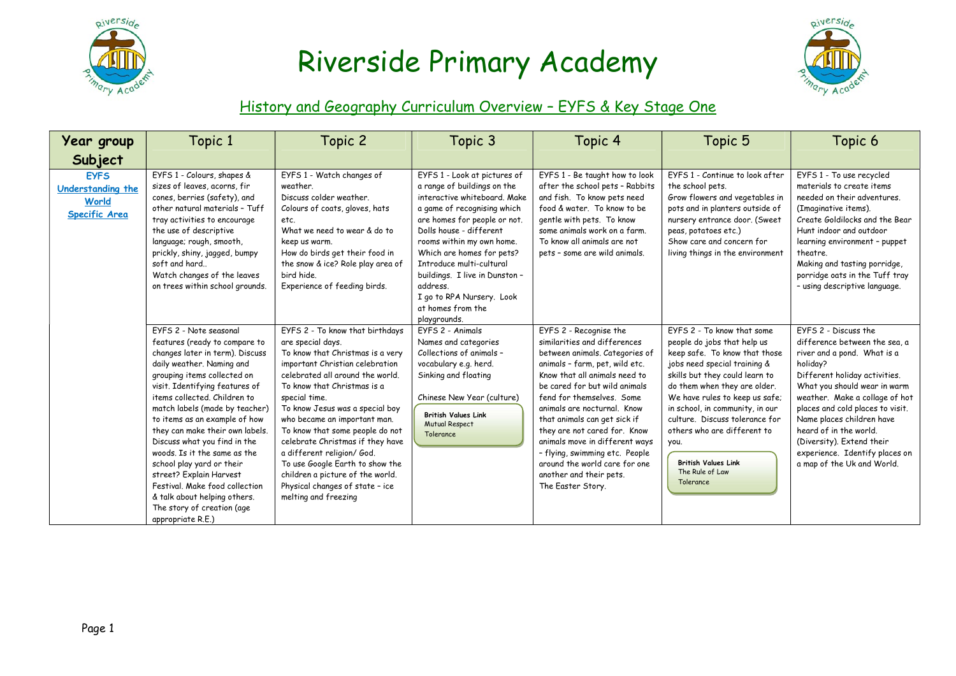



### History and Geography Curriculum Overview – EYFS & Key Stage One

| Year group                                                        | Topic 1                                                                                                                                                                                                                                                                                                                                                                                                                                                                                                                                                                     | Topic 2                                                                                                                                                                                                                                                                                                                                                                                                                                                                                                                   | Topic 3                                                                                                                                                                                                                                                                                                                                                                                     | Topic 4                                                                                                                                                                                                                                                                                                                                                                                                                                                                       | Topic 5                                                                                                                                                                                                                                                                                                                                                                                                  | Topic 6                                                                                                                                                                                                                                                                                                                                                                                     |
|-------------------------------------------------------------------|-----------------------------------------------------------------------------------------------------------------------------------------------------------------------------------------------------------------------------------------------------------------------------------------------------------------------------------------------------------------------------------------------------------------------------------------------------------------------------------------------------------------------------------------------------------------------------|---------------------------------------------------------------------------------------------------------------------------------------------------------------------------------------------------------------------------------------------------------------------------------------------------------------------------------------------------------------------------------------------------------------------------------------------------------------------------------------------------------------------------|---------------------------------------------------------------------------------------------------------------------------------------------------------------------------------------------------------------------------------------------------------------------------------------------------------------------------------------------------------------------------------------------|-------------------------------------------------------------------------------------------------------------------------------------------------------------------------------------------------------------------------------------------------------------------------------------------------------------------------------------------------------------------------------------------------------------------------------------------------------------------------------|----------------------------------------------------------------------------------------------------------------------------------------------------------------------------------------------------------------------------------------------------------------------------------------------------------------------------------------------------------------------------------------------------------|---------------------------------------------------------------------------------------------------------------------------------------------------------------------------------------------------------------------------------------------------------------------------------------------------------------------------------------------------------------------------------------------|
| Subject                                                           |                                                                                                                                                                                                                                                                                                                                                                                                                                                                                                                                                                             |                                                                                                                                                                                                                                                                                                                                                                                                                                                                                                                           |                                                                                                                                                                                                                                                                                                                                                                                             |                                                                                                                                                                                                                                                                                                                                                                                                                                                                               |                                                                                                                                                                                                                                                                                                                                                                                                          |                                                                                                                                                                                                                                                                                                                                                                                             |
| <b>EYFS</b><br>Understanding the<br>World<br><b>Specific Area</b> | EYFS 1 - Colours, shapes &<br>sizes of leaves, acorns, fir<br>cones, berries (safety), and<br>other natural materials - Tuff<br>tray activities to encourage<br>the use of descriptive<br>language; rough, smooth,<br>prickly, shiny, jagged, bumpy<br>soft and hard<br>Watch changes of the leaves<br>on trees within school grounds.                                                                                                                                                                                                                                      | EYFS 1 - Watch changes of<br>weather.<br>Discuss colder weather.<br>Colours of coats, gloves, hats<br>etc.<br>What we need to wear & do to<br>keep us warm.<br>How do birds get their food in<br>the snow & ice? Role play area of<br>bird hide.<br>Experience of feeding birds.                                                                                                                                                                                                                                          | EYFS 1 - Look at pictures of<br>a range of buildings on the<br>interactive whiteboard, Make<br>a game of recognising which<br>are homes for people or not.<br>Dolls house - different<br>rooms within my own home.<br>Which are homes for pets?<br>Introduce multi-cultural<br>buildings. I live in Dunston -<br>address.<br>I go to RPA Nursery. Look<br>at homes from the<br>playgrounds. | EYFS 1 - Be taught how to look<br>after the school pets - Rabbits<br>and fish. To know pets need<br>food & water. To know to be<br>gentle with pets. To know<br>some animals work on a farm.<br>To know all animals are not<br>pets - some are wild animals.                                                                                                                                                                                                                  | EYFS 1 - Continue to look after<br>the school pets.<br>Grow flowers and vegetables in<br>pots and in planters outside of<br>nursery entrance door. (Sweet<br>peas, potatoes etc.)<br>Show care and concern for<br>living things in the environment                                                                                                                                                       | EYFS 1 - To use recycled<br>materials to create items<br>needed on their adventures.<br>(Imaginative items).<br>Create Goldilocks and the Bear<br>Hunt indoor and outdoor<br>learning environment - puppet<br>theatre.<br>Making and tasting porridge,<br>porridge oats in the Tuff tray<br>- using descriptive language.                                                                   |
|                                                                   | EYFS 2 - Note seasonal<br>features (ready to compare to<br>changes later in term). Discuss<br>daily weather. Naming and<br>grouping items collected on<br>visit. Identifying features of<br>items collected. Children to<br>match labels (made by teacher)<br>to items as an example of how<br>they can make their own labels.<br>Discuss what you find in the<br>woods. Is it the same as the<br>school play yard or their<br>street? Explain Harvest<br>Festival, Make food collection<br>& talk about helping others.<br>The story of creation (age<br>appropriate R.E.) | EYFS 2 - To know that birthdays<br>are special days.<br>To know that Christmas is a very<br>important Christian celebration<br>celebrated all around the world.<br>To know that Christmas is a<br>special time.<br>To know Jesus was a special boy<br>who became an important man.<br>To know that some people do not<br>celebrate Christmas if they have<br>a different religion/ God.<br>To use Google Earth to show the<br>children a picture of the world.<br>Physical changes of state - ice<br>melting and freezing | FYFS 2 - Animals<br>Names and categories<br>Collections of animals -<br>vocabulary e.g. herd.<br>Sinking and floating<br>Chinese New Year (culture)<br><b>British Values Link</b><br><b>Mutual Respect</b><br>Tolerance                                                                                                                                                                     | EYFS 2 - Recognise the<br>similarities and differences<br>between animals. Categories of<br>animals - farm, pet, wild etc.<br>Know that all animals need to<br>be cared for but wild animals<br>fend for themselves. Some<br>animals are nocturnal. Know<br>that animals can get sick if<br>they are not cared for. Know<br>animals move in different ways<br>- flying, swimming etc. People<br>around the world care for one<br>another and their pets.<br>The Easter Story. | FYFS 2 - To know that some<br>people do jobs that help us<br>keep safe. To know that those<br>jobs need special training &<br>skills but they could learn to<br>do them when they are older.<br>We have rules to keep us safe;<br>in school, in community, in our<br>culture. Discuss tolerance for<br>others who are different to<br>you.<br><b>British Values Link</b><br>The Rule of Law<br>Tolerance | FYFS 2 - Discuss the<br>difference between the sea, a<br>river and a pond. What is a<br>holiday?<br>Different holiday activities.<br>What you should wear in warm<br>weather. Make a collage of hot<br>places and cold places to visit.<br>Name places children have<br>heard of in the world.<br>(Diversity). Extend their<br>experience. Identify places on<br>a map of the Uk and World. |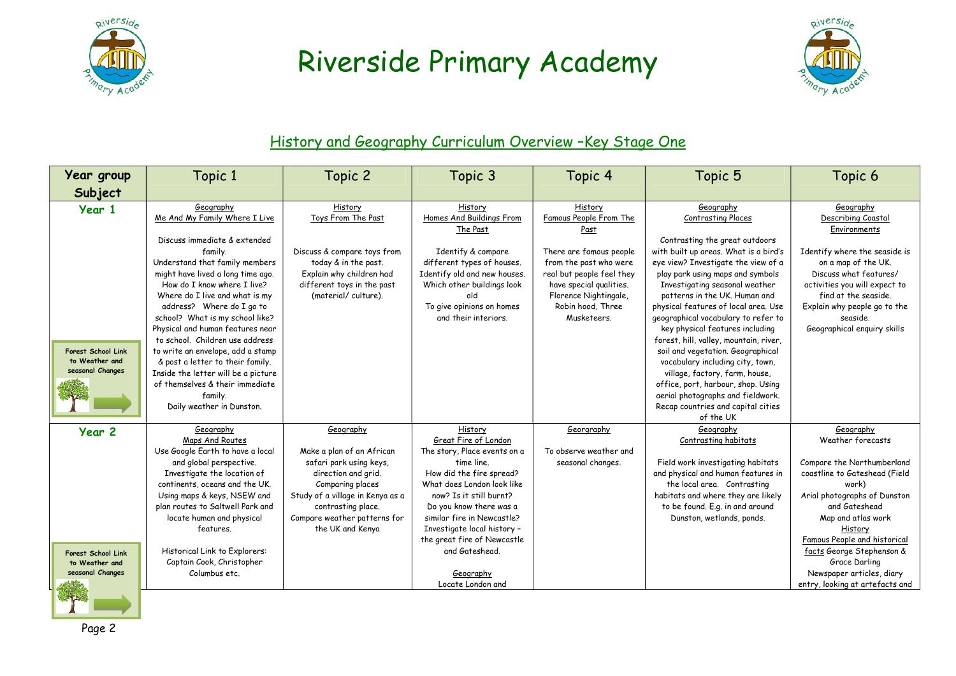



### History and Geography Curriculum Overview -Key Stage One

| Year group                                                      | Topic 1                                                                                                                                                                                                                                                                                                                                                                                                                                                                           | Topic 2                                                                                                                                               | Topic 3                                                                                                                                                                                                  | Topic 4                                                                                                                                                                | Topic 5                                                                                                                                                                                                                                                                                                                                                                                                                                                                                                                                                                                  | Topic 6                                                                                                                                                                                                            |
|-----------------------------------------------------------------|-----------------------------------------------------------------------------------------------------------------------------------------------------------------------------------------------------------------------------------------------------------------------------------------------------------------------------------------------------------------------------------------------------------------------------------------------------------------------------------|-------------------------------------------------------------------------------------------------------------------------------------------------------|----------------------------------------------------------------------------------------------------------------------------------------------------------------------------------------------------------|------------------------------------------------------------------------------------------------------------------------------------------------------------------------|------------------------------------------------------------------------------------------------------------------------------------------------------------------------------------------------------------------------------------------------------------------------------------------------------------------------------------------------------------------------------------------------------------------------------------------------------------------------------------------------------------------------------------------------------------------------------------------|--------------------------------------------------------------------------------------------------------------------------------------------------------------------------------------------------------------------|
| Subject                                                         |                                                                                                                                                                                                                                                                                                                                                                                                                                                                                   |                                                                                                                                                       |                                                                                                                                                                                                          |                                                                                                                                                                        |                                                                                                                                                                                                                                                                                                                                                                                                                                                                                                                                                                                          |                                                                                                                                                                                                                    |
| Year 1                                                          | Geography<br>Me And My Family Where I Live<br>Discuss immediate & extended                                                                                                                                                                                                                                                                                                                                                                                                        | History<br>Toys From The Past                                                                                                                         | History<br>Homes And Buildings From<br>The Past                                                                                                                                                          | History<br>Famous People From The<br>Past                                                                                                                              | Geography<br><b>Contrasting Places</b><br>Contrasting the great outdoors                                                                                                                                                                                                                                                                                                                                                                                                                                                                                                                 | Geography<br>Describing Coastal<br>Environments                                                                                                                                                                    |
| <b>Forest School Link</b><br>to Weather and<br>seasonal Changes | family.<br>Understand that family members<br>might have lived a long time ago.<br>How do I know where I live?<br>Where do I live and what is my<br>address? Where do I go to<br>school? What is my school like?<br>Physical and human features near<br>to school. Children use address<br>to write an envelope, add a stamp<br>& post a letter to their family.<br>Inside the letter will be a picture<br>of themselves & their immediate<br>family.<br>Daily weather in Dunston. | Discuss & compare toys from<br>today & in the past.<br>Explain why children had<br>different toys in the past<br>(material/culture).                  | Identify & compare<br>different types of houses.<br>Identify old and new houses.<br>Which other buildings look<br>old<br>To give opinions on homes<br>and their interiors.                               | There are famous people<br>from the past who were<br>real but people feel they<br>have special qualities.<br>Florence Nightingale,<br>Robin hood, Three<br>Musketeers. | with built up areas. What is a bird's<br>eye view? Investigate the view of a<br>play park using maps and symbols<br>Investigating seasonal weather<br>patterns in the UK. Human and<br>physical features of local area. Use<br>geographical vocabulary to refer to<br>key physical features including<br>forest, hill, valley, mountain, river,<br>soil and vegetation. Geographical<br>vocabulary including city, town,<br>village, factory, farm, house,<br>office, port, harbour, shop. Using<br>aerial photographs and fieldwork.<br>Recap countries and capital cities<br>of the UK | Identify where the seaside is<br>on a map of the UK.<br>Discuss what features/<br>activities you will expect to<br>find at the seaside.<br>Explain why people go to the<br>seaside.<br>Geographical enguiry skills |
| Year <sub>2</sub>                                               | Geography<br>Maps And Routes<br>Use Google Earth to have a local<br>and global perspective.                                                                                                                                                                                                                                                                                                                                                                                       | Geography<br>Make a plan of an African<br>safari park using keys,                                                                                     | History<br>Great Fire of London<br>The story, Place events on a<br>time line.                                                                                                                            | Georgraphy<br>To observe weather and<br>seasonal changes.                                                                                                              | Geography<br>Contrasting habitats<br>Field work investigating habitats                                                                                                                                                                                                                                                                                                                                                                                                                                                                                                                   | Geography<br>Weather forecasts<br>Compare the Northumberland                                                                                                                                                       |
|                                                                 | Investigate the location of<br>continents, oceans and the UK.<br>Using maps & keys, NSEW and<br>plan routes to Saltwell Park and<br>locate human and physical<br>features.                                                                                                                                                                                                                                                                                                        | direction and grid.<br>Comparing places<br>Study of a village in Kenya as a<br>contrasting place.<br>Compare weather patterns for<br>the UK and Kenya | How did the fire spread?<br>What does London look like<br>now? Is it still burnt?<br>Do you know there was a<br>similar fire in Newcastle?<br>Investigate local history -<br>the great fire of Newcastle |                                                                                                                                                                        | and physical and human features in<br>the local area. Contrasting<br>habitats and where they are likely<br>to be found. E.g. in and around<br>Dunston, wetlands, ponds.                                                                                                                                                                                                                                                                                                                                                                                                                  | coastline to Gateshead (Field<br>work)<br>Arial photographs of Dunston<br>and Gateshead<br>Map and atlas work<br>History<br>Famous People and historical                                                           |
| Forest School Link<br>to Weather and<br>seasonal Changes        | Historical Link to Explorers:<br>Captain Cook, Christopher<br>Columbus etc.                                                                                                                                                                                                                                                                                                                                                                                                       |                                                                                                                                                       | and Gateshead.<br>Geography<br>Locate London and                                                                                                                                                         |                                                                                                                                                                        |                                                                                                                                                                                                                                                                                                                                                                                                                                                                                                                                                                                          | facts George Stephenson &<br>Grace Darling<br>Newspaper articles, diary<br>entry, looking at artefacts and                                                                                                         |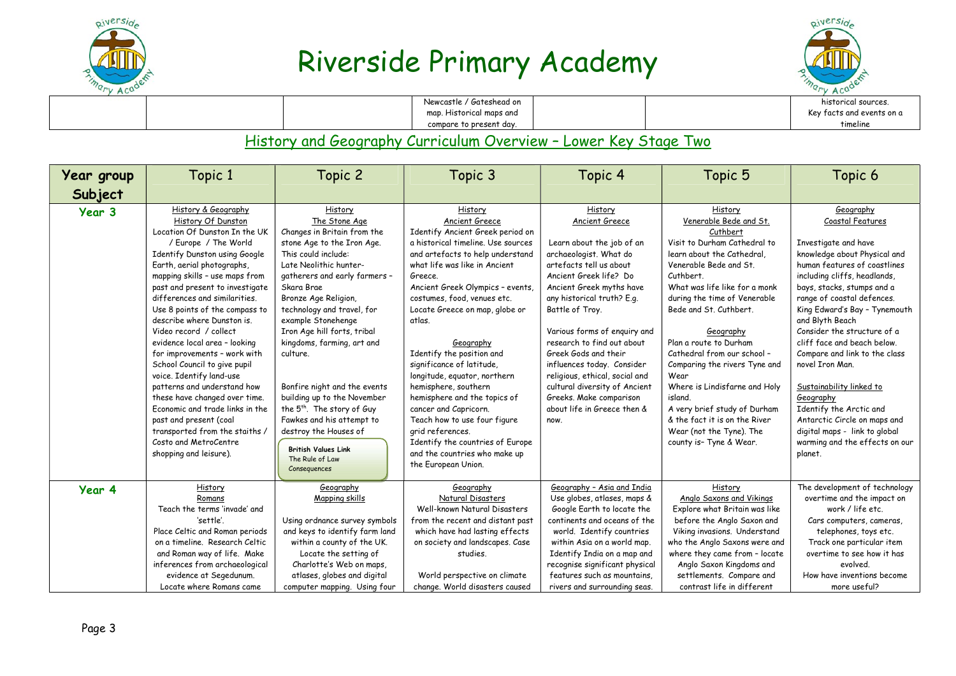



| $\sim$ |                |                          |  | $\mathbf{y}$ $\mathbf{v}$ |
|--------|----------------|--------------------------|--|---------------------------|
|        |                | Newcastle / Gateshead on |  | historical sources.       |
|        |                | map. Historical maps and |  | Key facts and events on a |
|        |                | compare to present day.  |  | timeline                  |
|        | til 1970-taler |                          |  |                           |

#### History and Geography Curriculum Overview – Lower Key Stage Two

| Year group | Topic 1                                                                                                                                                                                                                                                                                                                                                                                                                                                                                                                                                                                                                                                                                                          | Topic 2                                                                                                                                                                                                                                                                                                                                                                                                                                                                                                                                                                    | Topic 3                                                                                                                                                                                                                                                                                                                                                                                                                                                                                                                                                                                                                                    | Topic 4                                                                                                                                                                                                                                                                                                                                                                                                                                                                     | Topic 5                                                                                                                                                                                                                                                                                                                                                                                                                                                                                                                          | Topic 6                                                                                                                                                                                                                                                                                                                                                                                                                                                                                                                                                                   |
|------------|------------------------------------------------------------------------------------------------------------------------------------------------------------------------------------------------------------------------------------------------------------------------------------------------------------------------------------------------------------------------------------------------------------------------------------------------------------------------------------------------------------------------------------------------------------------------------------------------------------------------------------------------------------------------------------------------------------------|----------------------------------------------------------------------------------------------------------------------------------------------------------------------------------------------------------------------------------------------------------------------------------------------------------------------------------------------------------------------------------------------------------------------------------------------------------------------------------------------------------------------------------------------------------------------------|--------------------------------------------------------------------------------------------------------------------------------------------------------------------------------------------------------------------------------------------------------------------------------------------------------------------------------------------------------------------------------------------------------------------------------------------------------------------------------------------------------------------------------------------------------------------------------------------------------------------------------------------|-----------------------------------------------------------------------------------------------------------------------------------------------------------------------------------------------------------------------------------------------------------------------------------------------------------------------------------------------------------------------------------------------------------------------------------------------------------------------------|----------------------------------------------------------------------------------------------------------------------------------------------------------------------------------------------------------------------------------------------------------------------------------------------------------------------------------------------------------------------------------------------------------------------------------------------------------------------------------------------------------------------------------|---------------------------------------------------------------------------------------------------------------------------------------------------------------------------------------------------------------------------------------------------------------------------------------------------------------------------------------------------------------------------------------------------------------------------------------------------------------------------------------------------------------------------------------------------------------------------|
| Subject    |                                                                                                                                                                                                                                                                                                                                                                                                                                                                                                                                                                                                                                                                                                                  |                                                                                                                                                                                                                                                                                                                                                                                                                                                                                                                                                                            |                                                                                                                                                                                                                                                                                                                                                                                                                                                                                                                                                                                                                                            |                                                                                                                                                                                                                                                                                                                                                                                                                                                                             |                                                                                                                                                                                                                                                                                                                                                                                                                                                                                                                                  |                                                                                                                                                                                                                                                                                                                                                                                                                                                                                                                                                                           |
| Year 3     | History & Geography<br>History Of Dunston<br>Location Of Dunston In the UK<br>/ Europe / The World<br>Identify Dunston using Google<br>Earth, aerial photographs,<br>mapping skills - use maps from<br>past and present to investigate<br>differences and similarities.<br>Use 8 points of the compass to<br>describe where Dunston is.<br>Video record / collect<br>evidence local area - looking<br>for improvements - work with<br>School Council to give pupil<br>voice. Identify land-use<br>patterns and understand how<br>these have changed over time.<br>Economic and trade links in the<br>past and present (coal<br>transported from the staiths /<br>Costo and MetroCentre<br>shopping and leisure). | History<br>The Stone Age<br>Changes in Britain from the<br>stone Age to the Iron Age.<br>This could include:<br>Late Neolithic hunter-<br>gatherers and early farmers -<br>Skara Brae<br>Bronze Age Religion,<br>technology and travel, for<br>example Stonehenge<br>Iron Age hill forts, tribal<br>kingdoms, farming, art and<br>culture.<br>Bonfire night and the events<br>building up to the November<br>the 5 <sup>th</sup> . The story of Guy<br>Fawkes and his attempt to<br>destroy the Houses of<br><b>British Values Link</b><br>The Rule of Law<br>Consequences | History<br>Ancient Greece<br>Identify Ancient Greek period on<br>a historical timeline. Use sources<br>and artefacts to help understand<br>what life was like in Ancient<br>Greece.<br>Ancient Greek Olympics - events,<br>costumes, food, venues etc.<br>Locate Greece on map, globe or<br>atlas.<br>Geography<br>Identify the position and<br>significance of latitude,<br>longitude, equator, northern<br>hemisphere, southern<br>hemisphere and the topics of<br>cancer and Capricorn.<br>Teach how to use four figure<br>grid references.<br>Identify the countries of Europe<br>and the countries who make up<br>the European Union. | History<br>Ancient Greece<br>Learn about the job of an<br>archaeologist. What do<br>artefacts tell us about<br>Ancient Greek life? Do<br>Ancient Greek myths have<br>any historical truth? E.g.<br>Battle of Troy.<br>Various forms of enquiry and<br>research to find out about<br>Greek Gods and their<br>influences today. Consider<br>religious, ethical, social and<br>cultural diversity of Ancient<br>Greeks. Make comparison<br>about life in Greece then &<br>now. | History<br>Venerable Bede and St.<br>Cuthbert<br>Visit to Durham Cathedral to<br>learn about the Cathedral,<br>Venerable Bede and St.<br>Cuthbert.<br>What was life like for a monk<br>during the time of Venerable<br>Bede and St. Cuthbert.<br>Geography<br>Plan a route to Durham<br>Cathedral from our school -<br>Comparing the rivers Tyne and<br>Wear<br>Where is Lindisfarne and Holy<br>island.<br>A very brief study of Durham<br>& the fact it is on the River<br>Wear (not the Tyne). The<br>county is- Tyne & Wear. | Geography<br>Coastal Features<br>Investigate and have<br>knowledge about Physical and<br>human features of coastlines<br>including cliffs, headlands,<br>bays, stacks, stumps and a<br>range of coastal defences.<br>King Edward's Bay - Tynemouth<br>and Blyth Beach<br>Consider the structure of a<br>cliff face and beach below.<br>Compare and link to the class<br>novel Iron Man.<br>Sustainability linked to<br>Geography<br>Identify the Arctic and<br>Antarctic Circle on maps and<br>digital maps - link to global<br>warming and the effects on our<br>planet. |
| Year 4     | History<br>Romans<br>Teach the terms 'invade' and<br>'settle'.<br>Place Celtic and Roman periods                                                                                                                                                                                                                                                                                                                                                                                                                                                                                                                                                                                                                 | Geography<br>Mapping skills<br>Using ordnance survey symbols<br>and keys to identify farm land                                                                                                                                                                                                                                                                                                                                                                                                                                                                             | Geography<br>Natural Disasters<br>Well-known Natural Disasters<br>from the recent and distant past<br>which have had lasting effects                                                                                                                                                                                                                                                                                                                                                                                                                                                                                                       | Geography - Asia and India<br>Use globes, atlases, maps &<br>Google Earth to locate the<br>continents and oceans of the<br>world. Identify countries                                                                                                                                                                                                                                                                                                                        | History<br>Anglo Saxons and Vikings<br>Explore what Britain was like<br>before the Anglo Saxon and<br>Viking invasions. Understand                                                                                                                                                                                                                                                                                                                                                                                               | The development of technology<br>overtime and the impact on<br>work / life etc.<br>Cars computers, cameras,<br>telephones, toys etc.                                                                                                                                                                                                                                                                                                                                                                                                                                      |
|            | on a timeline. Research Celtic<br>and Roman way of life. Make<br>inferences from archaeological<br>evidence at Segedunum.<br>Locate where Romans came                                                                                                                                                                                                                                                                                                                                                                                                                                                                                                                                                            | within a county of the UK.<br>Locate the setting of<br>Charlotte's Web on maps,<br>atlases, globes and digital<br>computer mapping. Using four                                                                                                                                                                                                                                                                                                                                                                                                                             | on society and landscapes. Case<br>studies.<br>World perspective on climate<br>change. World disasters caused                                                                                                                                                                                                                                                                                                                                                                                                                                                                                                                              | within Asia on a world map.<br>Identify India on a map and<br>recognise significant physical<br>features such as mountains.<br>rivers and surrounding seas.                                                                                                                                                                                                                                                                                                                 | who the Anglo Saxons were and<br>where they came from - locate<br>Anglo Saxon Kingdoms and<br>settlements. Compare and<br>contrast life in different                                                                                                                                                                                                                                                                                                                                                                             | Track one particular item<br>overtime to see how it has<br>evolved.<br>How have inventions become<br>more useful?                                                                                                                                                                                                                                                                                                                                                                                                                                                         |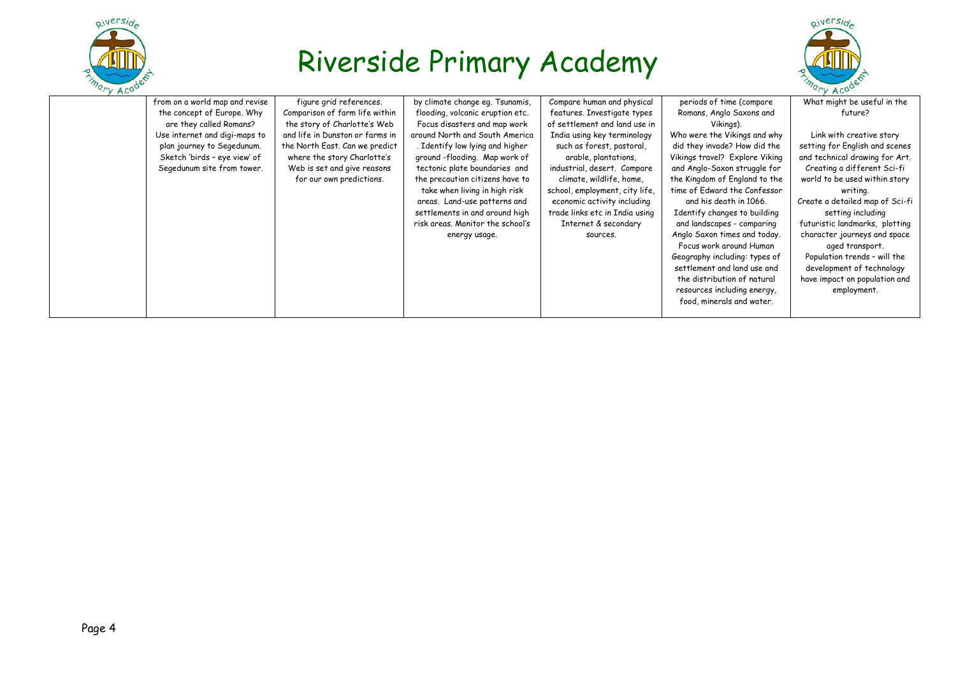



| $\mathbf{y}$ $\mathbf{A}$ |                                |                                 |                                  |                                |                                | $\mathbf{y}$ $\mathbf{A}$       |
|---------------------------|--------------------------------|---------------------------------|----------------------------------|--------------------------------|--------------------------------|---------------------------------|
|                           | from on a world map and revise | figure grid references.         | by climate change eq. Tsunamis,  | Compare human and physical     | periods of time (compare       | What might be useful in the     |
|                           | the concept of Europe. Why     | Comparison of farm life within  | flooding, volcanic eruption etc. | features. Investigate types    | Romans, Anglo Saxons and       | future?                         |
|                           | are they called Romans?        | the story of Charlotte's Web    | Focus disasters and map work     | of settlement and land use in  | Vikings).                      |                                 |
|                           | Use internet and digi-maps to  | and life in Dunston or farms in | around North and South America   | India using key terminology    | Who were the Vikings and why   | Link with creative story        |
|                           | plan journey to Segedunum.     | the North East. Can we predict  | . Identify low lying and higher  | such as forest, pastoral,      | did they invade? How did the   | setting for English and scenes  |
|                           | Sketch 'birds - eye view' of   | where the story Charlotte's     | ground -flooding. Map work of    | arable, plantations,           | Vikings travel? Explore Viking | and technical drawing for Art.  |
|                           | Segedunum site from tower.     | Web is set and give reasons     | tectonic plate boundaries and    | industrial, desert. Compare    | and Anglo-Saxon struggle for   | Creating a different Sci-fi     |
|                           |                                | for our own predictions.        | the precaution citizens have to  | climate, wildlife, home,       | the Kingdom of England to the  | world to be used within story   |
|                           |                                |                                 | take when living in high risk    | school, employment, city life, | time of Edward the Confessor   | writing.                        |
|                           |                                |                                 | areas. Land-use patterns and     | economic activity including    | and his death in 1066.         | Create a detailed map of Sci-fi |
|                           |                                |                                 | settlements in and around high   | trade links etc in India using | Identify changes to building   | setting including               |
|                           |                                |                                 | risk areas. Monitor the school's | Internet & secondary           | and landscapes - comparing     | futuristic landmarks, plotting  |
|                           |                                |                                 | energy usage.                    | sources.                       | Anglo Saxon times and today.   | character journeys and space    |
|                           |                                |                                 |                                  |                                | Focus work around Human        | aged transport.                 |
|                           |                                |                                 |                                  |                                | Geography including: types of  | Population trends - will the    |
|                           |                                |                                 |                                  |                                | settlement and land use and    | development of technology       |
|                           |                                |                                 |                                  |                                | the distribution of natural    | have impact on population and   |
|                           |                                |                                 |                                  |                                | resources including energy,    | employment.                     |
|                           |                                |                                 |                                  |                                | food, minerals and water.      |                                 |
|                           |                                |                                 |                                  |                                |                                |                                 |
|                           |                                |                                 |                                  |                                |                                |                                 |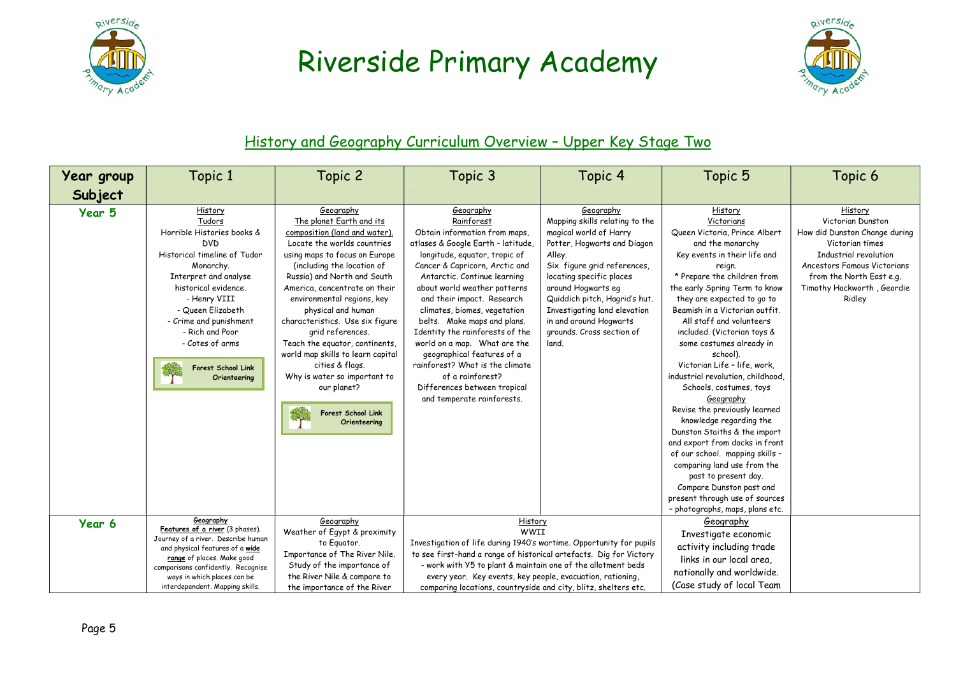



### History and Geography Curriculum Overview – Upper Key Stage Two

| Year group<br>Subject | Topic 1                                                                                                                                                                                                                                                                                                | Topic 2                                                                                                                                                                                                                                                                                                                                                                                                                                                                                                                               | Topic 3                                                                                                                                                                                                                                                                                                                                                                                                                                                                                                                                              | Topic 4                                                                                                                                                                                                                                                                                                                          | Topic 5                                                                                                                                                                                                                                                                                                                                                                                                                                                                                                                                                                                                                                                                                                                                                    | Topic 6                                                                                                                                                                                                      |
|-----------------------|--------------------------------------------------------------------------------------------------------------------------------------------------------------------------------------------------------------------------------------------------------------------------------------------------------|---------------------------------------------------------------------------------------------------------------------------------------------------------------------------------------------------------------------------------------------------------------------------------------------------------------------------------------------------------------------------------------------------------------------------------------------------------------------------------------------------------------------------------------|------------------------------------------------------------------------------------------------------------------------------------------------------------------------------------------------------------------------------------------------------------------------------------------------------------------------------------------------------------------------------------------------------------------------------------------------------------------------------------------------------------------------------------------------------|----------------------------------------------------------------------------------------------------------------------------------------------------------------------------------------------------------------------------------------------------------------------------------------------------------------------------------|------------------------------------------------------------------------------------------------------------------------------------------------------------------------------------------------------------------------------------------------------------------------------------------------------------------------------------------------------------------------------------------------------------------------------------------------------------------------------------------------------------------------------------------------------------------------------------------------------------------------------------------------------------------------------------------------------------------------------------------------------------|--------------------------------------------------------------------------------------------------------------------------------------------------------------------------------------------------------------|
| Year 5                | History<br>Tudors<br>Horrible Histories books &<br><b>DVD</b><br>Historical timeline of Tudor<br>Monarchy.<br>Interpret and analyse<br>historical evidence.<br>- Henry VIII<br>- Queen Elizabeth<br>- Crime and punishment<br>- Rich and Poor<br>- Cotes of arms<br>Forest School Link<br>Orienteering | Geography<br>The planet Earth and its<br>composition (land and water).<br>Locate the worlds countries<br>using maps to focus on Europe<br>(including the location of<br>Russia) and North and South<br>America, concentrate on their<br>environmental regions, key<br>physical and human<br>characteristics. Use six figure<br>grid references.<br>Teach the equator, continents,<br>world map skills to learn capital<br>cities & flags.<br>Why is water so important to<br>our planet?<br><b>Forest School Link</b><br>Orienteering | Geography<br>Rainforest<br>Obtain information from maps,<br>atlases & Google Earth - latitude,<br>longitude, equator, tropic of<br>Cancer & Capricorn, Arctic and<br>Antarctic, Continue learning<br>about world weather patterns<br>and their impact. Research<br>climates, biomes, vegetation<br>belts. Make maps and plans.<br>Identity the rainforests of the<br>world on a map. What are the<br>geographical features of a<br>rainforest? What is the climate<br>of a rainforest?<br>Differences between tropical<br>and temperate rainforests. | Geography<br>Mapping skills relating to the<br>magical world of Harry<br>Potter, Hogwarts and Diagon<br>Alley.<br>Six figure grid references,<br>locating specific places<br>around Hogwarts eg<br>Quiddich pitch, Hagrid's hut.<br>Investigating land elevation<br>in and around Hogwarts<br>grounds. Cross section of<br>land. | History<br>Victorians<br>Queen Victoria, Prince Albert<br>and the monarchy<br>Key events in their life and<br>reign.<br>* Prepare the children from<br>the early Spring Term to know<br>they are expected to go to<br>Beamish in a Victorian outfit.<br>All staff and volunteers<br>included. (Victorian toys &<br>some costumes already in<br>school).<br>Victorian Life - life, work,<br>industrial revolution, childhood,<br>Schools, costumes, toys<br>Geography<br>Revise the previously learned<br>knowledge regarding the<br>Dunston Staiths & the import<br>and export from docks in front<br>of our school. mapping skills -<br>comparing land use from the<br>past to present day.<br>Compare Dunston past and<br>present through use of sources | History<br>Victorian Dunston<br>How did Dunston Change during<br>Victorian times<br>Industrial revolution<br>Ancestors Famous Victorians<br>from the North East e.g.<br>Timothy Hackworth, Geordie<br>Ridley |
| Year 6                | Geography<br>Features of a river (3 phases).<br>Journey of a river. Describe human<br>and physical features of a wide<br>range of places. Make good<br>comparisons confidently. Recognise<br>ways in which places can be<br>interdependent. Mapping skills.                                            | Geography<br>Weather of Egypt & proximity<br>to Equator.<br>Importance of The River Nile.<br>Study of the importance of<br>the River Nile & compare to<br>the importance of the River                                                                                                                                                                                                                                                                                                                                                 | History<br>WWII<br>Investigation of life during 1940's wartime. Opportunity for pupils<br>to see first-hand a range of historical artefacts. Dig for Victory<br>- work with Y5 to plant & maintain one of the allotment beds<br>every year. Key events, key people, evacuation, rationing,<br>comparing locations, countryside and city, blitz, shelters etc.                                                                                                                                                                                        |                                                                                                                                                                                                                                                                                                                                  | - photographs, maps, plans etc.<br>Geography<br>Investigate economic<br>activity including trade<br>links in our local area,<br>nationally and worldwide.<br>(Case study of local Team                                                                                                                                                                                                                                                                                                                                                                                                                                                                                                                                                                     |                                                                                                                                                                                                              |